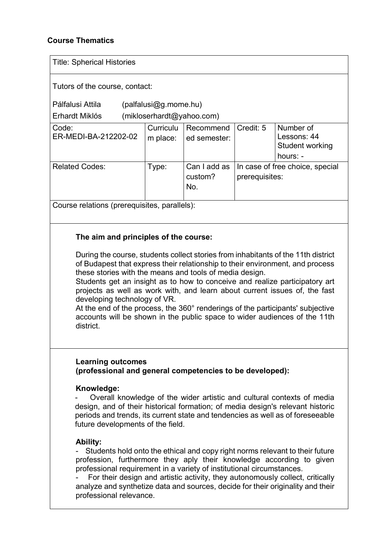## **Course Thematics**

| <b>Title: Spherical Histories</b>                                                                                                                                                                                                                                                                                                                                                                                                                                                                                                                                                                                                               |                                                     |                                |                                                   |                                                                                                                                                               |
|-------------------------------------------------------------------------------------------------------------------------------------------------------------------------------------------------------------------------------------------------------------------------------------------------------------------------------------------------------------------------------------------------------------------------------------------------------------------------------------------------------------------------------------------------------------------------------------------------------------------------------------------------|-----------------------------------------------------|--------------------------------|---------------------------------------------------|---------------------------------------------------------------------------------------------------------------------------------------------------------------|
| Tutors of the course, contact:<br>Pálfalusi Attila<br>Erhardt Miklós                                                                                                                                                                                                                                                                                                                                                                                                                                                                                                                                                                            | $(palfalusQg.mome.hu)$<br>(mikloserhardt@yahoo.com) |                                |                                                   |                                                                                                                                                               |
| Code:<br>ER-MEDI-BA-212202-02                                                                                                                                                                                                                                                                                                                                                                                                                                                                                                                                                                                                                   | Curriculu<br>m place:                               | Recommend<br>ed semester:      | Credit: 5                                         | Number of<br>Lessons: 44<br>Student working<br>hours: -                                                                                                       |
| <b>Related Codes:</b>                                                                                                                                                                                                                                                                                                                                                                                                                                                                                                                                                                                                                           | Type:                                               | Can I add as<br>custom?<br>No. | In case of free choice, special<br>prerequisites: |                                                                                                                                                               |
| Course relations (prerequisites, parallels):                                                                                                                                                                                                                                                                                                                                                                                                                                                                                                                                                                                                    |                                                     |                                |                                                   |                                                                                                                                                               |
| The aim and principles of the course:<br>During the course, students collect stories from inhabitants of the 11th district<br>of Budapest that express their relationship to their environment, and process<br>these stories with the means and tools of media design.<br>Students get an insight as to how to conceive and realize participatory art<br>projects as well as work with, and learn about current issues of, the fast<br>developing technology of VR.<br>At the end of the process, the 360° renderings of the participants' subjective<br>accounts will be shown in the public space to wider audiences of the 11th<br>district. |                                                     |                                |                                                   |                                                                                                                                                               |
| <b>Learning outcomes</b><br>(professional and general competencies to be developed):<br>Knowledge:<br>design, and of their historical formation; of media design's relevant historic<br>periods and trends, its current state and tendencies as well as of foreseeable<br>future developments of the field.<br><b>Ability:</b>                                                                                                                                                                                                                                                                                                                  |                                                     |                                |                                                   | Overall knowledge of the wider artistic and cultural contexts of media                                                                                        |
| profession, furthermore they aply their knowledge according to given<br>professional requirement in a variety of institutional circumstances.<br>analyze and synthetize data and sources, decide for their originality and their<br>professional relevance.                                                                                                                                                                                                                                                                                                                                                                                     |                                                     |                                |                                                   | Students hold onto the ethical and copy right norms relevant to their future<br>For their design and artistic activity, they autonomously collect, critically |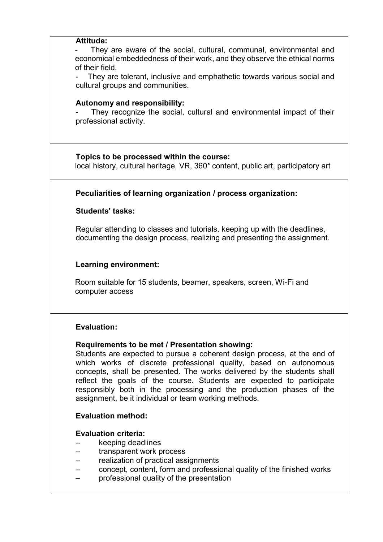| Attitude: |                                                                                                                                                                                                                                                                                                                                                     |
|-----------|-----------------------------------------------------------------------------------------------------------------------------------------------------------------------------------------------------------------------------------------------------------------------------------------------------------------------------------------------------|
|           | They are aware of the social, cultural, communal, environmental and<br>economical embeddedness of their work, and they observe the ethical norms<br>of their field.<br>They are tolerant, inclusive and emphathetic towards various social and<br>cultural groups and communities.                                                                  |
|           | Autonomy and responsibility:<br>They recognize the social, cultural and environmental impact of their<br>professional activity.                                                                                                                                                                                                                     |
|           | Topics to be processed within the course:<br>local history, cultural heritage, VR, 360° content, public art, participatory art                                                                                                                                                                                                                      |
|           | Peculiarities of learning organization / process organization:                                                                                                                                                                                                                                                                                      |
|           | <b>Students' tasks:</b>                                                                                                                                                                                                                                                                                                                             |
|           | Regular attending to classes and tutorials, keeping up with the deadlines,<br>documenting the design process, realizing and presenting the assignment.                                                                                                                                                                                              |
|           | <b>Learning environment:</b>                                                                                                                                                                                                                                                                                                                        |
|           | Room suitable for 15 students, beamer, speakers, screen, Wi-Fi and<br>computer access                                                                                                                                                                                                                                                               |
|           | <b>Evaluation:</b>                                                                                                                                                                                                                                                                                                                                  |
|           | Requirements to be met / Presentation showing:<br>Students are expected to pursue a coherent design process, at the end of<br>which works of discrete professional quality, based on autonomous<br>concepts, shall be presented. The works delivered by the students shall<br>reflect the goals of the course. Students are expected to participate |
|           | responsibly both in the processing and the production phases of the<br>assignment, be it individual or team working methods.                                                                                                                                                                                                                        |
|           | <b>Evaluation method:</b>                                                                                                                                                                                                                                                                                                                           |